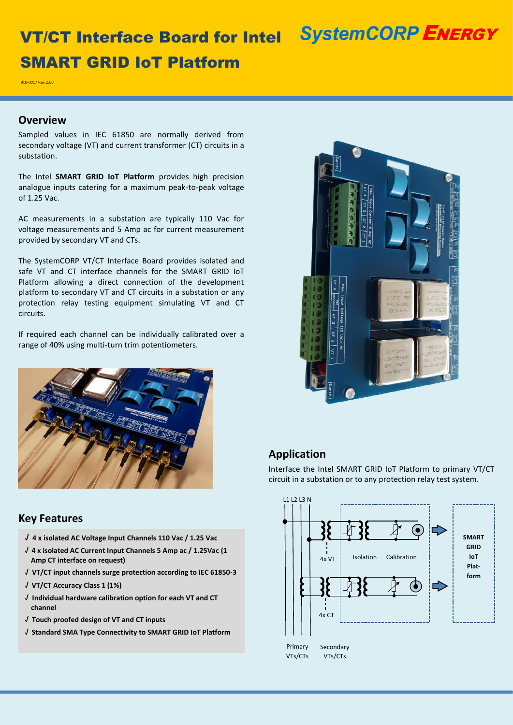## **SystemCORP ENERGY**

# VT/CT Interface Board for Intel SMART GRID IoT Platform

910-0017 Rev.2.00

#### **Overview**

Sampled values in IEC 61850 are normally derived from secondary voltage (VT) and current transformer (CT) circuits in a substation.

The Intel **SMART GRID IoT Platform** provides high precision analogue inputs catering for a maximum peak-to-peak voltage of 1.25 Vac.

AC measurements in a substation are typically 110 Vac for voltage measurements and 5 Amp ac for current measurement provided by secondary VT and CTs.

The SystemCORP VT/CT Interface Board provides isolated and safe VT and CT interface channels for the SMART GRID IoT Platform allowing a direct connection of the development platform to secondary VT and CT circuits in a substation or any protection relay testing equipment simulating VT and CT circuits.

If required each channel can be individually calibrated over a range of 40% using multi-turn trim potentiometers.



### **Key Features**

- **√ 4 x isolated AC Voltage Input Channels 110 Vac / 1.25 Vac**
- **√ 4 x isolated AC Current Input Channels 5 Amp ac / 1.25Vac (1 Amp CT interface on request)**
- **√ VT/CT input channels surge protection according to IEC 61850-3**
- **√ VT/CT Accuracy Class 1 (1%)**
- **√ Individual hardware calibration option for each VT and CT channel**
- **√ Touch proofed design of VT and CT inputs**
- **√ Standard SMA Type Connectivity to SMART GRID IoT Platform**



## **Application**

Interface the Intel SMART GRID IoT Platform to primary VT/CT circuit in a substation or to any protection relay test system.